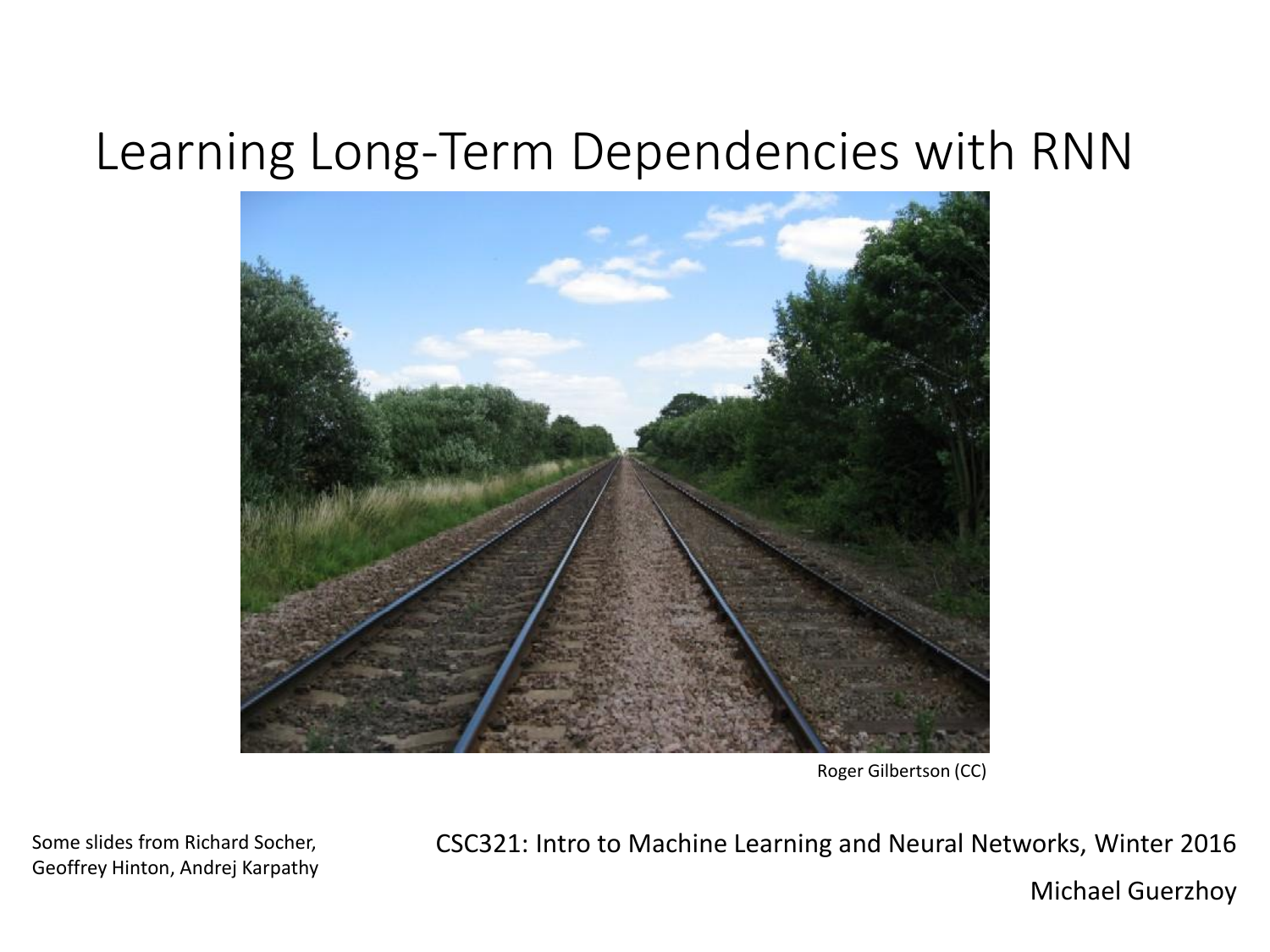#### Learning Long-Term Dependencies with RNN



Roger Gilbertson (CC)

Some slides from Richard Socher, Geoffrey Hinton, Andrej Karpathy CSC321: Intro to Machine Learning and Neural Networks, Winter 2016

Michael Guerzhoy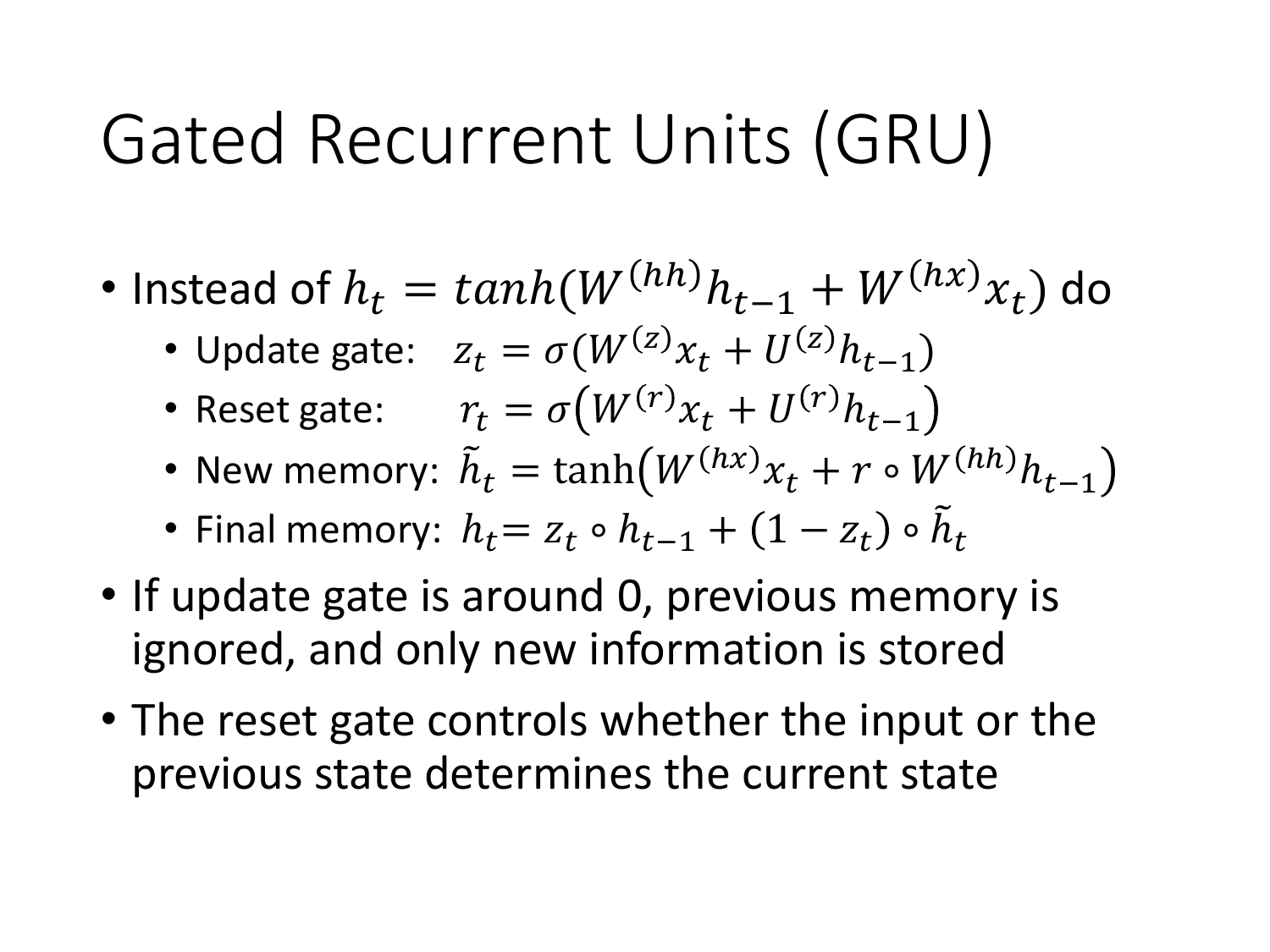### Gated Recurrent Units (GRU)

- Instead of  $h_t = \tanh(W^{(hh)}h_{t-1} + W^{(hx)}x_t)$  do
	- Update gate:  $z_t = \sigma(W^{(z)}x_t + U^{(z)}h_{t-1})$
	- Reset gate:  $r_t = \sigma \big( W^{(r)} x_t + U^{(r)} h_{t-1} \big)$
	- New memory:  $\tilde{h}_t = \tanh(W^{(hx)}x_t + r \circ W^{(hh)}h_{t-1})$
	- Final memory:  $h_t = z_t \circ h_{t-1} + (1 z_t) \circ \tilde{h}_t$
- If update gate is around 0, previous memory is ignored, and only new information is stored
- The reset gate controls whether the input or the previous state determines the current state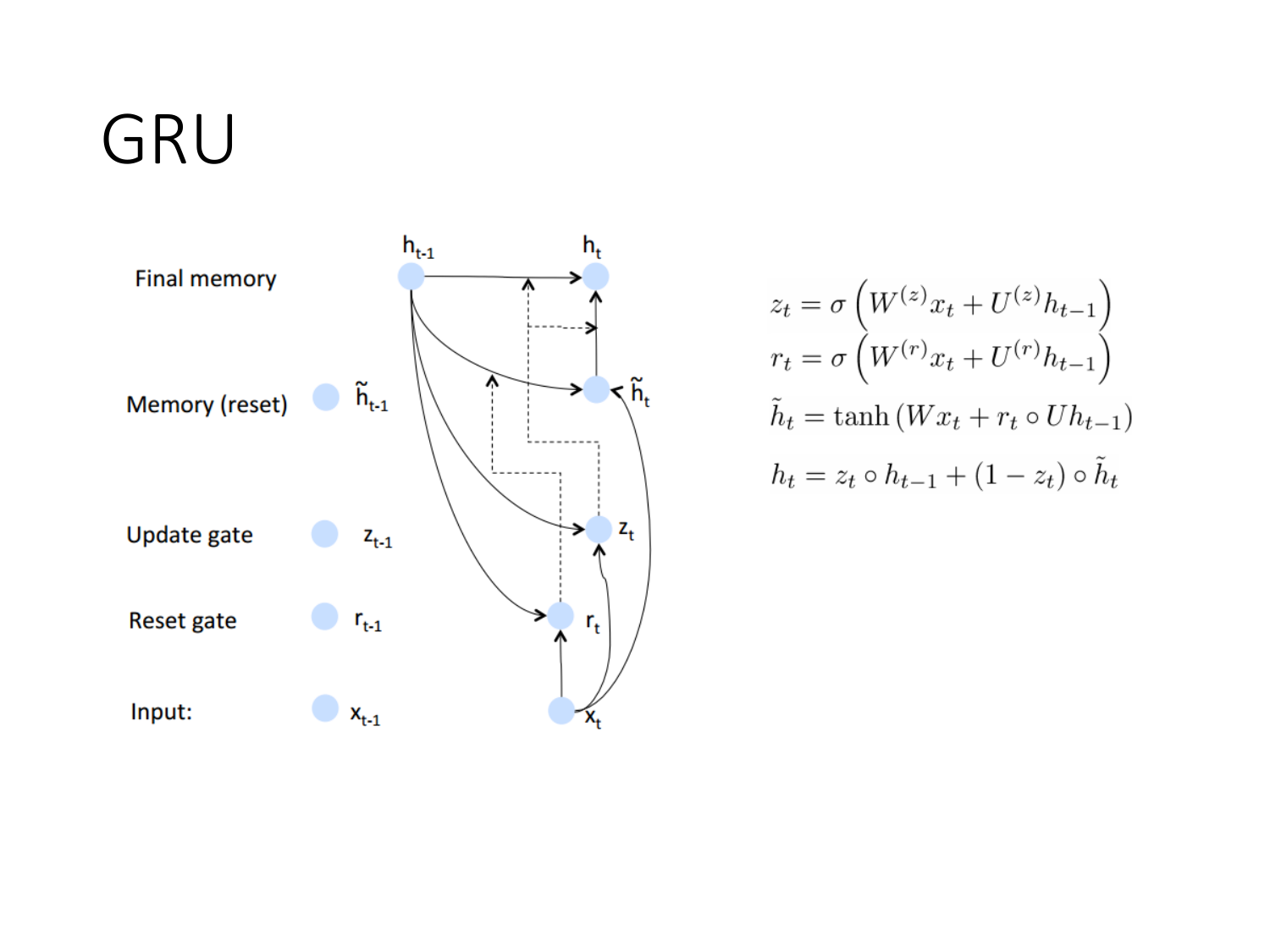### GRU



$$
z_t = \sigma \left( W^{(z)} x_t + U^{(z)} h_{t-1} \right)
$$

$$
r_t = \sigma \left( W^{(r)} x_t + U^{(r)} h_{t-1} \right)
$$

$$
\tilde{h}_t = \tanh \left( W x_t + r_t \circ U h_{t-1} \right)
$$

$$
h_t = z_t \circ h_{t-1} + (1 - z_t) \circ \tilde{h}_t
$$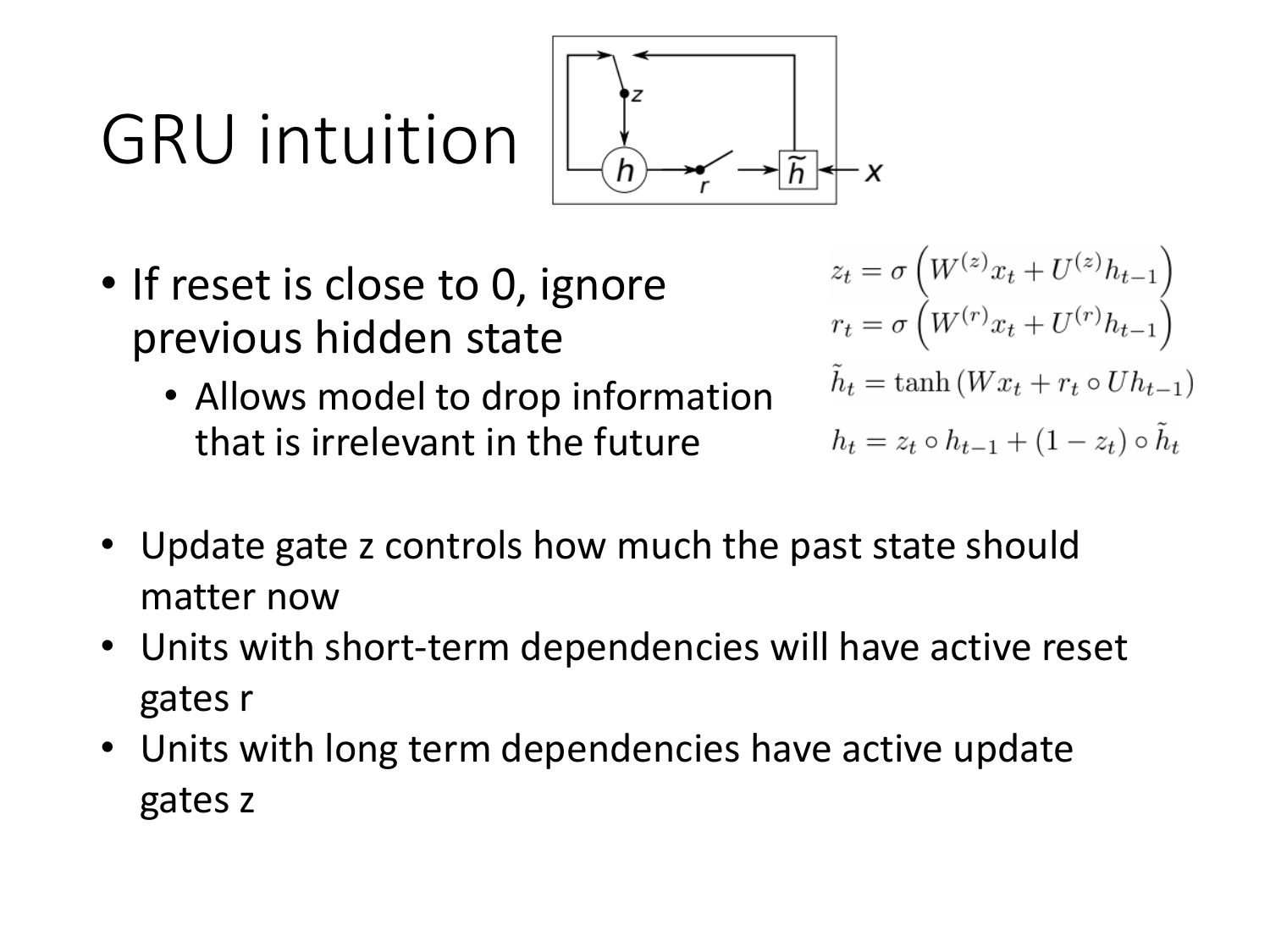# GRU intuition



- If reset is close to 0, ignore previous hidden state
	- Allows model to drop information that is irrelevant in the future

$$
z_t = \sigma \left( W^{(z)} x_t + U^{(z)} h_{t-1} \right)
$$
  
\n
$$
r_t = \sigma \left( W^{(r)} x_t + U^{(r)} h_{t-1} \right)
$$
  
\n
$$
\tilde{h}_t = \tanh \left( W x_t + r_t \circ U h_{t-1} \right)
$$
  
\n
$$
h_t = z_t \circ h_{t-1} + (1 - z_t) \circ \tilde{h}_t
$$

- Update gate z controls how much the past state should matter now
- Units with short-term dependencies will have active reset gates r
- Units with long term dependencies have active update gates z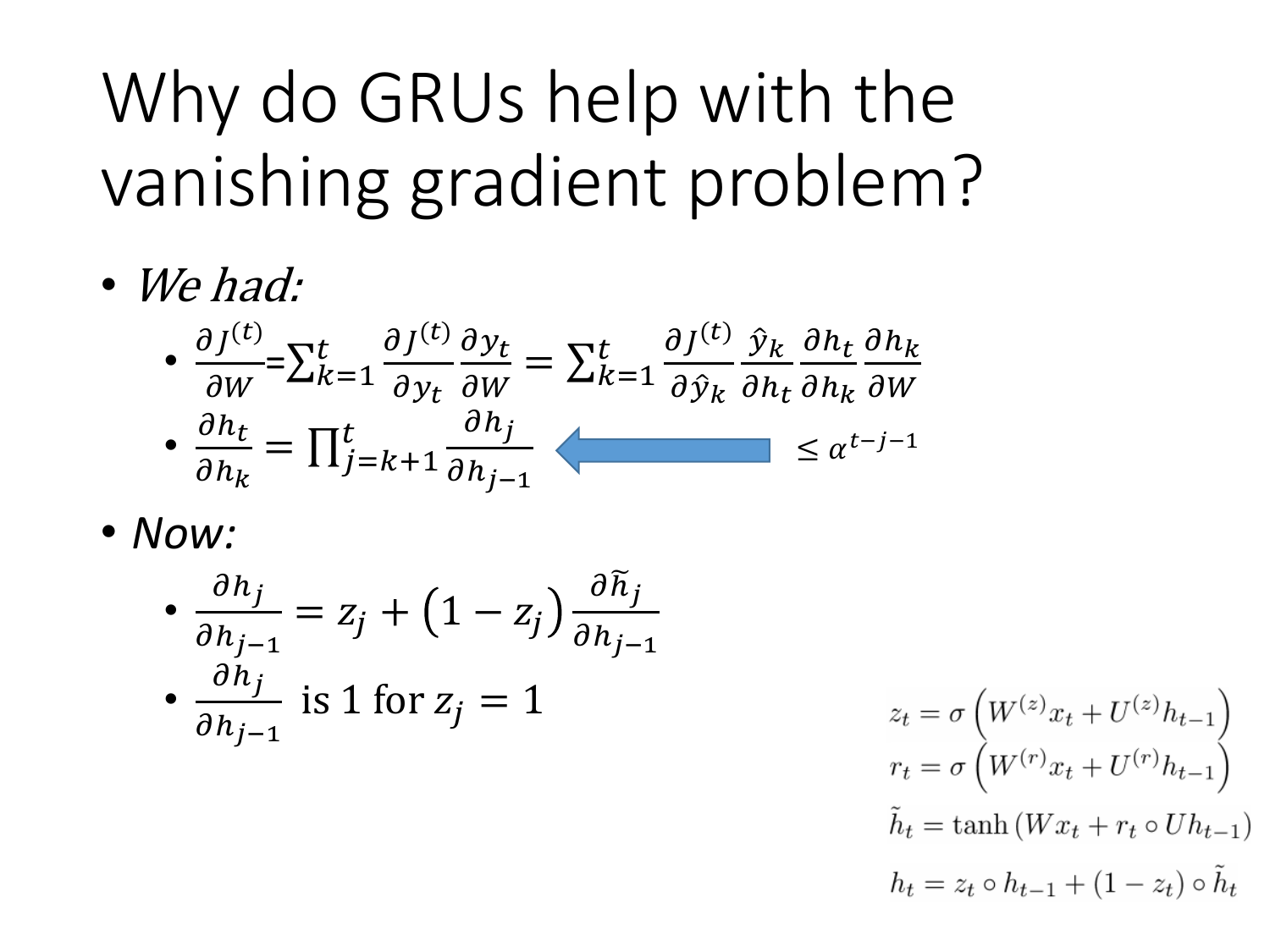## Why do GRUs help with the vanishing gradient problem?

• We had:

$$
\bullet \frac{\partial J^{(t)}}{\partial W} = \sum_{k=1}^{t} \frac{\partial J^{(t)}}{\partial y_t} \frac{\partial y_t}{\partial W} = \sum_{k=1}^{t} \frac{\partial J^{(t)}}{\partial \hat{y}_k} \frac{\partial y_k}{\partial h_t} \frac{\partial h_t}{\partial h_k} \frac{\partial h_k}{\partial W}
$$

$$
\bullet \frac{\partial h_t}{\partial h_k} = \prod_{j=k+1}^{t} \frac{\partial h_j}{\partial h_{j-1}} \quad \leq \alpha^{t-j-1}
$$

• *Now:*

$$
\frac{\partial h_j}{\partial h_{j-1}} = z_j + (1 - z_j) \frac{\partial \widetilde{h}_j}{\partial h_{j-1}}
$$
  
• 
$$
\frac{\partial h_j}{\partial h_{j-1}}
$$
 is 1 for  $z_j = 1$ 

$$
z_t = \sigma \left( W^{(z)} x_t + U^{(z)} h_{t-1} \right)
$$

$$
r_t = \sigma \left( W^{(r)} x_t + U^{(r)} h_{t-1} \right)
$$

$$
\tilde{h}_t = \tanh \left( W x_t + r_t \circ U h_{t-1} \right)
$$

$$
h_t = z_t \circ h_{t-1} + (1 - z_t) \circ \tilde{h}_t
$$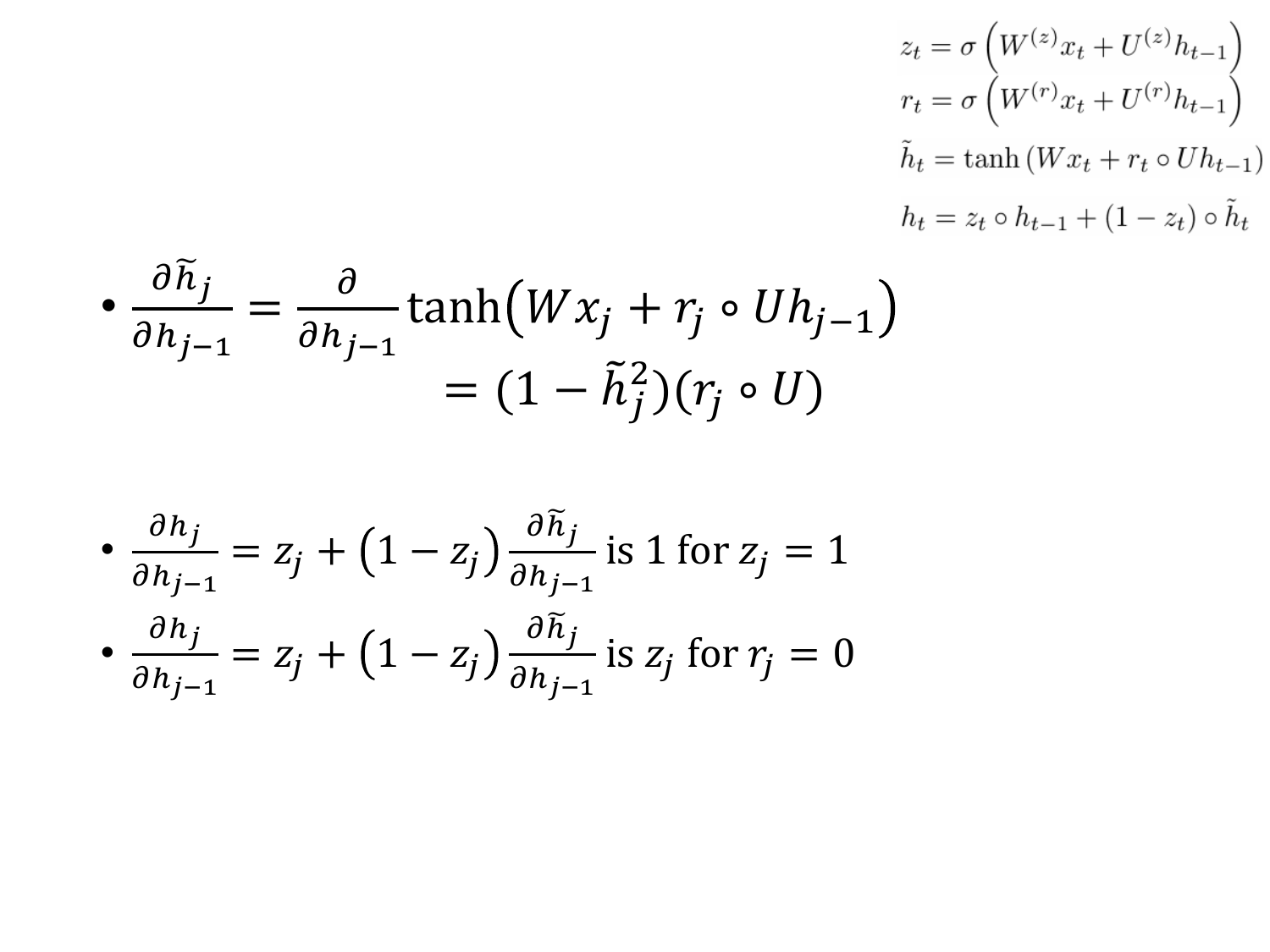$$
z_t = \sigma \left( W^{(z)} x_t + U^{(z)} h_{t-1} \right)
$$
  
\n
$$
r_t = \sigma \left( W^{(r)} x_t + U^{(r)} h_{t-1} \right)
$$
  
\n
$$
\tilde{h}_t = \tanh \left( W x_t + r_t \circ U h_{t-1} \right)
$$
  
\n
$$
h_t = z_t \circ h_{t-1} + (1 - z_t) \circ \tilde{h}_t
$$

$$
\bullet \frac{\partial \widetilde{h}_j}{\partial h_{j-1}} = \frac{\partial}{\partial h_{j-1}} \tanh\left(Wx_j + r_j \circ Uh_{j-1}\right)
$$

$$
= (1 - \widetilde{h}_j^2)(r_j \circ U)
$$

$$
\frac{\partial h_j}{\partial h_{j-1}} = z_j + (1 - z_j) \frac{\partial \widetilde{h}_j}{\partial h_{j-1}} \text{ is } 1 \text{ for } z_j = 1
$$
  
 
$$
\frac{\partial h_j}{\partial h_{j-1}} = z_j + (1 - z_j) \frac{\partial \widetilde{h}_j}{\partial h_{j-1}} \text{ is } z_j \text{ for } r_j = 0
$$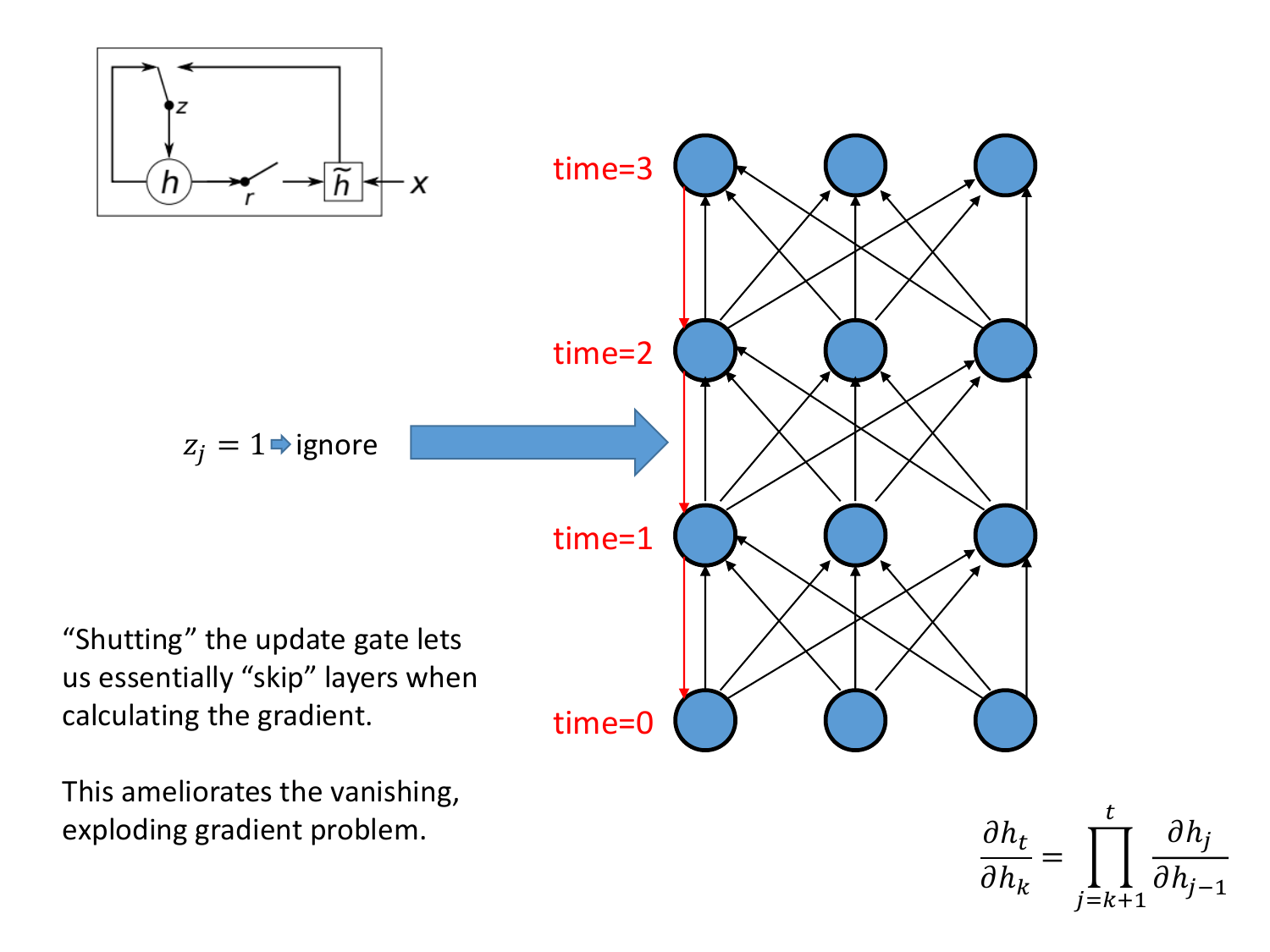

This ameliorates the vanishing, exploding gradient problem.  $\partial h_t$